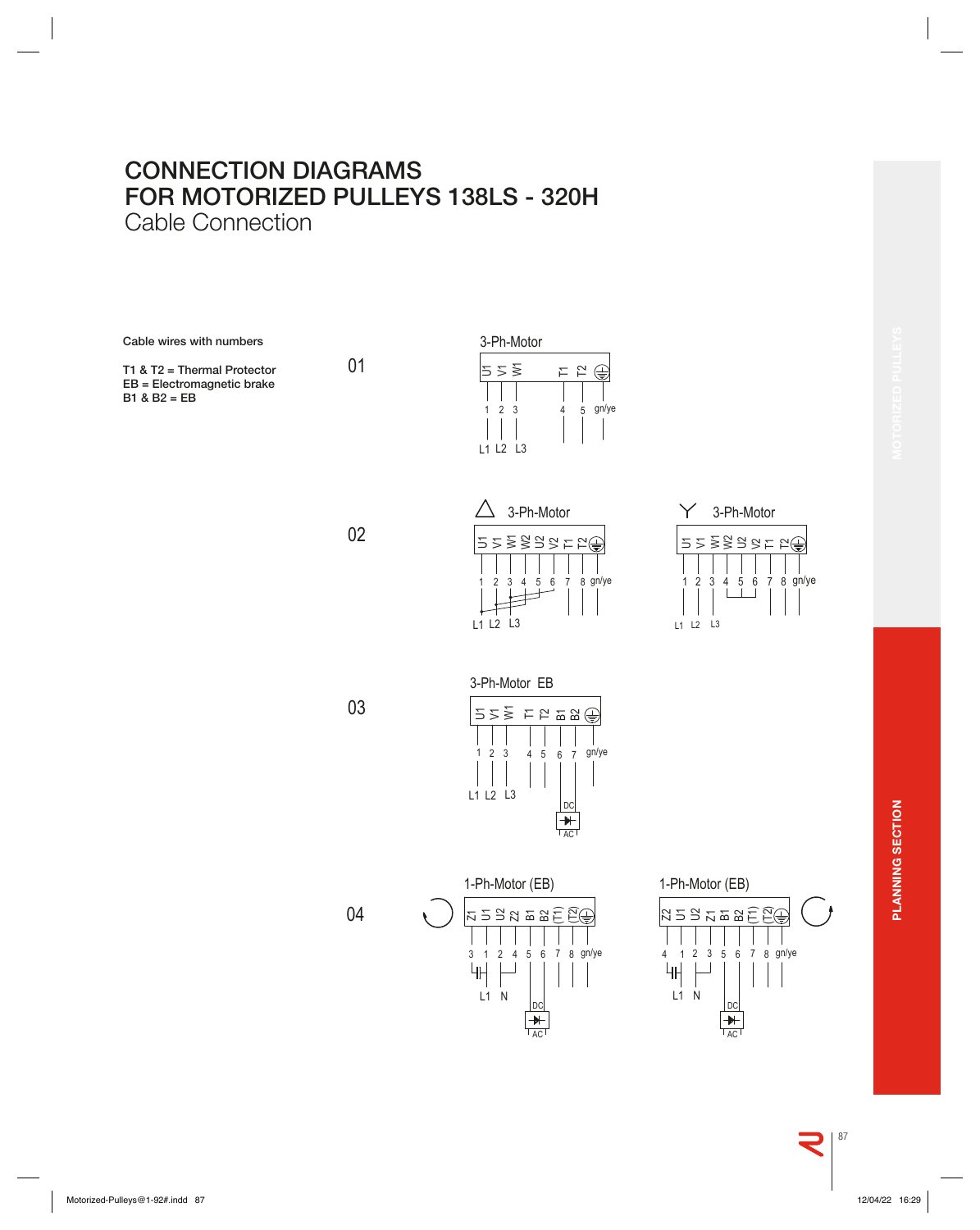## **CONNECTION DIAGRAMS FOR MOTORIZED PULLEYS 138LS - 320H** Cable Connection

**Cable wires with numbers**

**T1 & T2 = Thermal Protector EB = Electromagnetic brake B1 & B2 = EB**



02

01





03

04





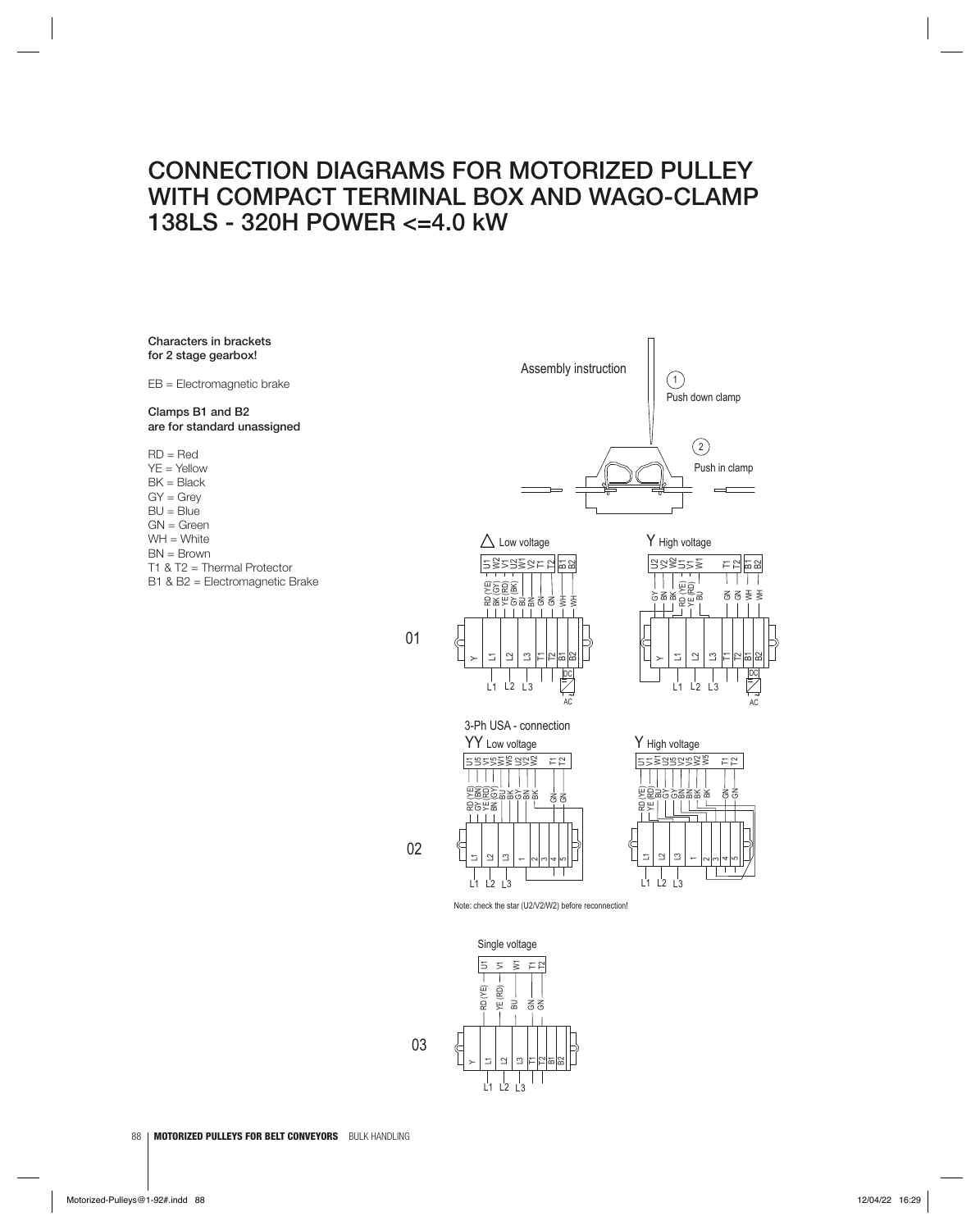## **CONNECTION DIAGRAMS FOR MOTORIZED PULLEY WITH COMPACT TERMINAL BOX AND WAGO-CLAMP 138LS - 320H POWER <=4.0 kW**

01

02

**Characters in brackets for 2 stage gearbox!**

**Clamps B1 and B2 are for standard unassigned**

EB = Electromagnetic brake

 $RD = Red$ YE = Yellow  $BK = Black$  $GY = Grev$  $BU = Blue$  $GN = Green$  $WH = White$  $BN = Brown$ T1 & T2 = Thermal Protector B1 & B2 = Electromagnetic Brake